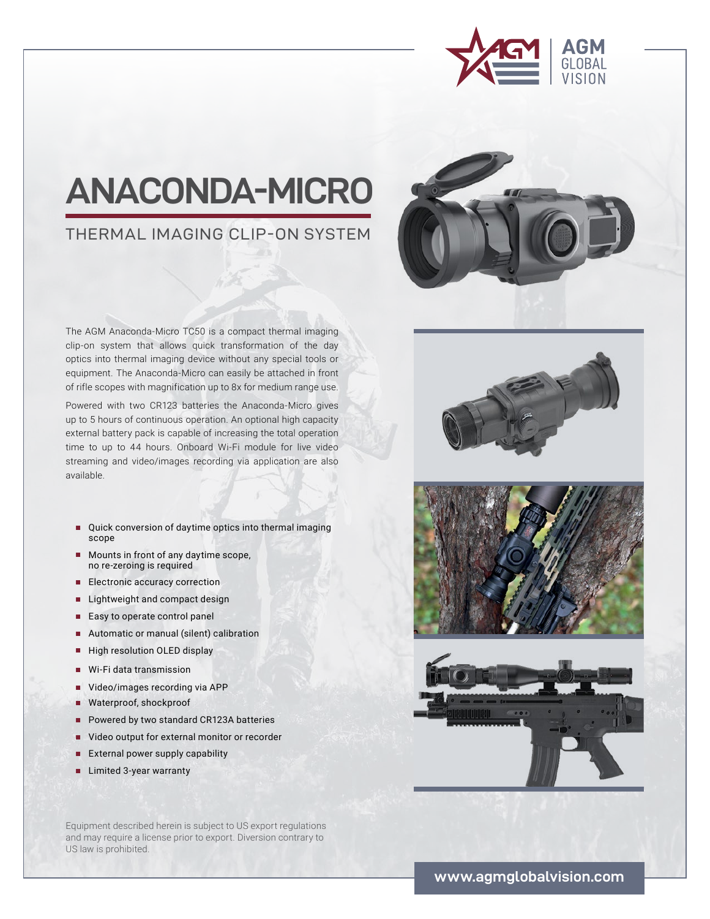

# **ANACONDA-MICRO**

## THERMAL IMAGING CLIP-ON SYSTEM



Powered with two CR123 batteries the Anaconda-Micro gives up to 5 hours of continuous operation. An optional high capacity external battery pack is capable of increasing the total operation time to up to 44 hours. Onboard Wi-Fi module for live video streaming and video/images recording via application are also available.

- Quick conversion of daytime optics into thermal imaging scope
- Mounts in front of any daytime scope, no re-zeroing is required
- Electronic accuracy correction
- Lightweight and compact design
- Easy to operate control panel
- Automatic or manual (silent) calibration
- High resolution OLED display
- **■** Wi-Fi data transmission
- Video/images recording via APP
- **■** Waterproof, shockproof
- Powered by two standard CR123A batteries
- Video output for external monitor or recorder
- **■** External power supply capability
- **■** Limited 3-year warranty

Equipment described herein is subject to US export regulations and may require a license prior to export. Diversion contrary to US law is prohibited.